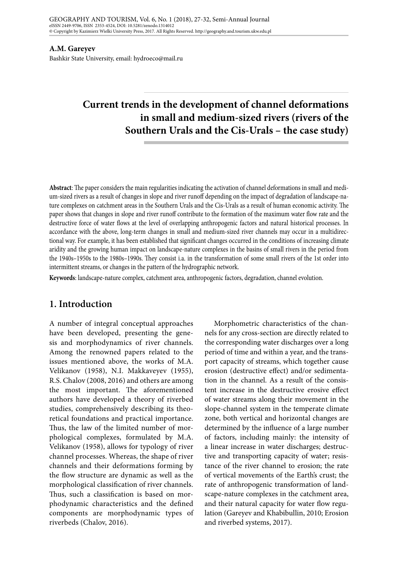#### **A.M. Gareyev**

Bashkir State University, email: hydroeco@mail.ru

# **Current trends in the development of channel deformations in small and medium-sized rivers (rivers of the Southern Urals and the Cis-Urals – the case study)**

**Abstract**: The paper considers the main regularities indicating the activation of channel deformations in small and medium-sized rivers as a result of changes in slope and river runoff depending on the impact of degradation of landscape-nature complexes on catchment areas in the Southern Urals and the Cis-Urals as a result of human economic activity. The paper shows that changes in slope and river runoff contribute to the formation of the maximum water flow rate and the destructive force of water flows at the level of overlapping anthropogenic factors and natural historical processes. In accordance with the above, long-term changes in small and medium-sized river channels may occur in a multidirectional way. For example, it has been established that significant changes occurred in the conditions of increasing climate aridity and the growing human impact on landscape-nature complexes in the basins of small rivers in the period from the 1940s–1950s to the 1980s–1990s. They consist i.a. in the transformation of some small rivers of the 1st order into intermittent streams, or changes in the pattern of the hydrographic network.

**Keywords**: landscape-nature complex, catchment area, anthropogenic factors, degradation, channel evolution.

## **1. Introduction**

A number of integral conceptual approaches have been developed, presenting the genesis and morphodynamics of river channels. Among the renowned papers related to the issues mentioned above, the works of M.A. Velikanov (1958), N.I. Makkaveyev (1955), R.S. Chalov (2008, 2016) and others are among the most important. The aforementioned authors have developed a theory of riverbed studies, comprehensively describing its theoretical foundations and practical importance. Thus, the law of the limited number of morphological complexes, formulated by M.A. Velikanov (1958), allows for typology of river channel processes. Whereas, the shape of river channels and their deformations forming by the flow structure are dynamic as well as the morphological classification of river channels. Thus, such a classification is based on morphodynamic characteristics and the defined components are morphodynamic types of riverbeds (Chalov, 2016).

Morphometric characteristics of the channels for any cross-section are directly related to the corresponding water discharges over a long period of time and within a year, and the transport capacity of streams, which together cause erosion (destructive effect) and/or sedimentation in the channel. As a result of the consistent increase in the destructive erosive effect of water streams along their movement in the slope-channel system in the temperate climate zone, both vertical and horizontal changes are determined by the influence of a large number of factors, including mainly: the intensity of a linear increase in water discharges; destructive and transporting capacity of water; resistance of the river channel to erosion; the rate of vertical movements of the Earth's crust; the rate of anthropogenic transformation of landscape-nature complexes in the catchment area, and their natural capacity for water flow regulation (Gareyev and Khabibullin, 2010; Erosion and riverbed systems, 2017).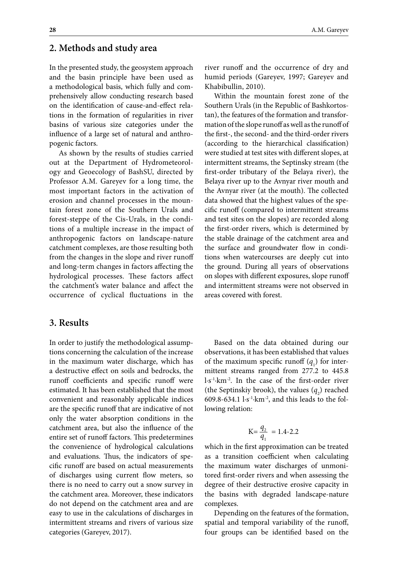#### **2. Methods and study area**

In the presented study, the geosystem approach and the basin principle have been used as a methodological basis, which fully and comprehensively allow conducting research based on the identification of cause-and-effect relations in the formation of regularities in river basins of various size categories under the influence of a large set of natural and anthropogenic factors.

As shown by the results of studies carried out at the Department of Hydrometeorology and Geoecology of BashSU, directed by Professor A.M. Gareyev for a long time, the most important factors in the activation of erosion and channel processes in the mountain forest zone of the Southern Urals and forest-steppe of the Cis-Urals, in the conditions of a multiple increase in the impact of anthropogenic factors on landscape-nature catchment complexes, are those resulting both from the changes in the slope and river runoff and long-term changes in factors affecting the hydrological processes. These factors affect the catchment's water balance and affect the occurrence of cyclical fluctuations in the

#### **3. Results**

In order to justify the methodological assumptions concerning the calculation of the increase in the maximum water discharge, which has a destructive effect on soils and bedrocks, the runoff coefficients and specific runoff were estimated. It has been established that the most convenient and reasonably applicable indices are the specific runoff that are indicative of not only the water absorption conditions in the catchment area, but also the influence of the entire set of runoff factors. This predetermines the convenience of hydrological calculations and evaluations. Thus, the indicators of specific runoff are based on actual measurements of discharges using current flow meters, so there is no need to carry out a snow survey in the catchment area. Moreover, these indicators do not depend on the catchment area and are easy to use in the calculations of discharges in intermittent streams and rivers of various size categories (Gareyev, 2017).

Within the mountain forest zone of the Southern Urals (in the Republic of Bashkortostan), the features of the formation and transformation of the slope runoff as well as the runoff of the first-, the second- and the third-order rivers (according to the hierarchical classification) were studied at test sites with different slopes, at intermittent streams, the Septinsky stream (the first-order tributary of the Belaya river), the Belaya river up to the Avnyar river mouth and the Avnyar river (at the mouth). The collected data showed that the highest values of the specific runoff (compared to intermittent streams and test sites on the slopes) are recorded along the first-order rivers, which is determined by the stable drainage of the catchment area and the surface and groundwater flow in conditions when watercourses are deeply cut into the ground. During all years of observations on slopes with different exposures, slope runoff and intermittent streams were not observed in areas covered with forest.

Based on the data obtained during our observations, it has been established that values of the maximum specific runoff  $(q_1)$  for intermittent streams ranged from 277.2 to 445.8 l·s-1·km-2. In the case of the first-order river (the Septinskiy brook), the values  $(q_2)$  reached 609.8-634.1  $l·s<sup>-1</sup>·km<sup>-2</sup>$ , and this leads to the following relation:

$$
K = \frac{q_2}{q_1} = 1.4 - 2.2
$$

which in the first approximation can be treated as a transition coefficient when calculating the maximum water discharges of unmonitored first-order rivers and when assessing the degree of their destructive erosive capacity in the basins with degraded landscape-nature complexes.

Depending on the features of the formation, spatial and temporal variability of the runoff, four groups can be identified based on the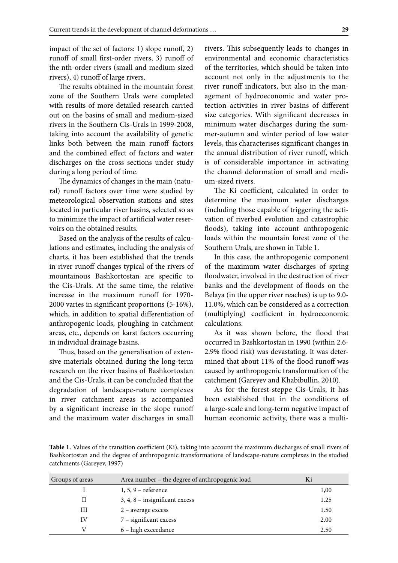impact of the set of factors: 1) slope runoff, 2) runoff of small first-order rivers, 3) runoff of the nth-order rivers (small and medium-sized rivers), 4) runoff of large rivers.

The results obtained in the mountain forest zone of the Southern Urals were completed with results of more detailed research carried out on the basins of small and medium-sized rivers in the Southern Cis-Urals in 1999-2008, taking into account the availability of genetic links both between the main runoff factors and the combined effect of factors and water discharges on the cross sections under study during a long period of time.

The dynamics of changes in the main (natural) runoff factors over time were studied by meteorological observation stations and sites located in particular river basins, selected so as to minimize the impact of artificial water reservoirs on the obtained results.

Based on the analysis of the results of calculations and estimates, including the analysis of charts, it has been established that the trends in river runoff changes typical of the rivers of mountainous Bashkortostan are specific to the Cis-Urals. At the same time, the relative increase in the maximum runoff for 1970- 2000 varies in significant proportions (5-16%), which, in addition to spatial differentiation of anthropogenic loads, ploughing in catchment areas, etc., depends on karst factors occurring in individual drainage basins.

Thus, based on the generalisation of extensive materials obtained during the long-term research on the river basins of Bashkortostan and the Cis-Urals, it can be concluded that the degradation of landscape-nature complexes in river catchment areas is accompanied by a significant increase in the slope runoff and the maximum water discharges in small

rivers. This subsequently leads to changes in environmental and economic characteristics of the territories, which should be taken into account not only in the adjustments to the river runoff indicators, but also in the management of hydroeconomic and water protection activities in river basins of different size categories. With significant decreases in minimum water discharges during the summer-autumn and winter period of low water levels, this characterises significant changes in the annual distribution of river runoff, which is of considerable importance in activating the channel deformation of small and medium-sized rivers.

The Ki coefficient, calculated in order to determine the maximum water discharges (including those capable of triggering the activation of riverbed evolution and catastrophic floods), taking into account anthropogenic loads within the mountain forest zone of the Southern Urals, are shown in Table 1.

In this case, the anthropogenic component of the maximum water discharges of spring floodwater, involved in the destruction of river banks and the development of floods on the Belaya (in the upper river reaches) is up to 9.0- 11.0%, which can be considered as a correction (multiplying) coefficient in hydroeconomic calculations.

As it was shown before, the flood that occurred in Bashkortostan in 1990 (within 2.6- 2.9% flood risk) was devastating. It was determined that about 11% of the flood runoff was caused by anthropogenic transformation of the catchment (Gareyev and Khabibullin, 2010).

As for the forest-steppe Cis-Urals, it has been established that in the conditions of a large-scale and long-term negative impact of human economic activity, there was a multi-

**Table 1.** Values of the transition coefficient (Ki), taking into account the maximum discharges of small rivers of Bashkortostan and the degree of anthropogenic transformations of landscape-nature complexes in the studied catchments (Gareyev, 1997)

| Groups of areas | Area number – the degree of anthropogenic load |      |
|-----------------|------------------------------------------------|------|
|                 | $1, 5, 9$ – reference                          | 1,00 |
| $_{\rm II}$     | 3, 4, 8 - insignificant excess                 | 1.25 |
| Ш               | $2$ – average excess                           | 1.50 |
| IV              | 7 - significant excess                         | 2.00 |
| V               | 6 - high exceedance                            | 2.50 |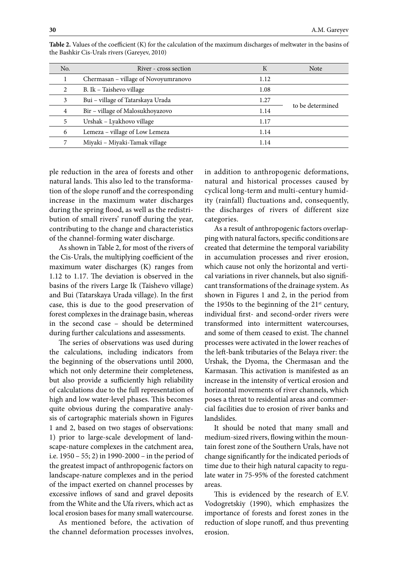| No. | River - cross section                | К    | <b>Note</b>      |
|-----|--------------------------------------|------|------------------|
|     | Chermasan - village of Novoyumranovo | 1.12 |                  |
| 2   | B. Ik - Taishevo village             | 1.08 |                  |
| 3   | Bui - village of Tatarskaya Urada    | 1.27 | to be determined |
| 4   | Bir - village of Malosukhoyazovo     | 1.14 |                  |
| 5   | Urshak - Lyakhovo village            | 1.17 |                  |
| 6   | Lemeza - village of Low Lemeza       | 1.14 |                  |
| 7   | Miyaki - Miyaki-Tamak village        | 1.14 |                  |

**Table 2.** Values of the coefficient (K) for the calculation of the maximum discharges of meltwater in the basins of the Bashkir Cis-Urals rivers (Gareyev, 2010)

ple reduction in the area of forests and other natural lands. This also led to the transformation of the slope runoff and the corresponding increase in the maximum water discharges during the spring flood, as well as the redistribution of small rivers' runoff during the year, contributing to the change and characteristics of the channel-forming water discharge.

As shown in Table 2, for most of the rivers of the Cis-Urals, the multiplying coefficient of the maximum water discharges (K) ranges from 1.12 to 1.17. The deviation is observed in the basins of the rivers Large Ik (Taishevo village) and Bui (Tatarskaya Urada village). In the first case, this is due to the good preservation of forest complexes in the drainage basin, whereas in the second case – should be determined during further calculations and assessments.

The series of observations was used during the calculations, including indicators from the beginning of the observations until 2000, which not only determine their completeness, but also provide a sufficiently high reliability of calculations due to the full representation of high and low water-level phases. This becomes quite obvious during the comparative analysis of cartographic materials shown in Figures 1 and 2, based on two stages of observations: 1) prior to large-scale development of landscape-nature complexes in the catchment area, i.e. 1950 – 55; 2) in 1990-2000 – in the period of the greatest impact of anthropogenic factors on landscape-nature complexes and in the period of the impact exerted on channel processes by excessive inflows of sand and gravel deposits from the White and the Ufa rivers, which act as local erosion bases for many small watercourse.

As mentioned before, the activation of the channel deformation processes involves,

in addition to anthropogenic deformations, natural and historical processes caused by cyclical long-term and multi-century humidity (rainfall) fluctuations and, consequently, the discharges of rivers of different size categories.

As a result of anthropogenic factors overlapping with natural factors, specific conditions are created that determine the temporal variability in accumulation processes and river erosion, which cause not only the horizontal and vertical variations in river channels, but also significant transformations of the drainage system. As shown in Figures 1 and 2, in the period from the 1950s to the beginning of the  $21<sup>st</sup>$  century, individual first- and second-order rivers were transformed into intermittent watercourses, and some of them ceased to exist. The channel processes were activated in the lower reaches of the left-bank tributaries of the Belaya river: the Urshak, the Dyoma, the Chermasan and the Karmasan. This activation is manifested as an increase in the intensity of vertical erosion and horizontal movements of river channels, which poses a threat to residential areas and commercial facilities due to erosion of river banks and landslides.

It should be noted that many small and medium-sized rivers, flowing within the mountain forest zone of the Southern Urals, have not change significantly for the indicated periods of time due to their high natural capacity to regulate water in 75-95% of the forested catchment areas.

This is evidenced by the research of E.V. Vodogretskiy (1990), which emphasizes the importance of forests and forest zones in the reduction of slope runoff, and thus preventing erosion.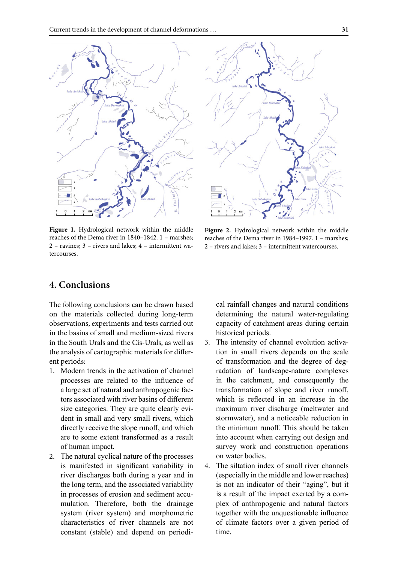



**Figure 1.** Hydrological network within the middle reaches of the Dema river in 1840–1842. 1 – marshes; 2 – ravines; 3 – rivers and lakes; 4 – intermittent watercourses.

**Figure 2.** Hydrological network within the middle reaches of the Dema river in 1984–1997. 1 – marshes; 2 – rivers and lakes; 3 – intermittent watercourses.

## **4. Conclusions**

The following conclusions can be drawn based on the materials collected during long-term observations, experiments and tests carried out in the basins of small and medium-sized rivers in the South Urals and the Cis-Urals, as well as the analysis of cartographic materials for different periods:

- 1. Modern trends in the activation of channel processes are related to the influence of a large set of natural and anthropogenic factors associated with river basins of different size categories. They are quite clearly evident in small and very small rivers, which directly receive the slope runoff, and which are to some extent transformed as a result of human impact.
- 2. The natural cyclical nature of the processes is manifested in significant variability in river discharges both during a year and in the long term, and the associated variability in processes of erosion and sediment accumulation. Therefore, both the drainage system (river system) and morphometric characteristics of river channels are not constant (stable) and depend on periodi-

cal rainfall changes and natural conditions determining the natural water-regulating capacity of catchment areas during certain historical periods.

- 3. The intensity of channel evolution activation in small rivers depends on the scale of transformation and the degree of degradation of landscape-nature complexes in the catchment, and consequently the transformation of slope and river runoff, which is reflected in an increase in the maximum river discharge (meltwater and stormwater), and a noticeable reduction in the minimum runoff. This should be taken into account when carrying out design and survey work and construction operations on water bodies.
- 4. The siltation index of small river channels (especially in the middle and lower reaches) is not an indicator of their "aging", but it is a result of the impact exerted by a complex of anthropogenic and natural factors together with the unquestionable influence of climate factors over a given period of time.